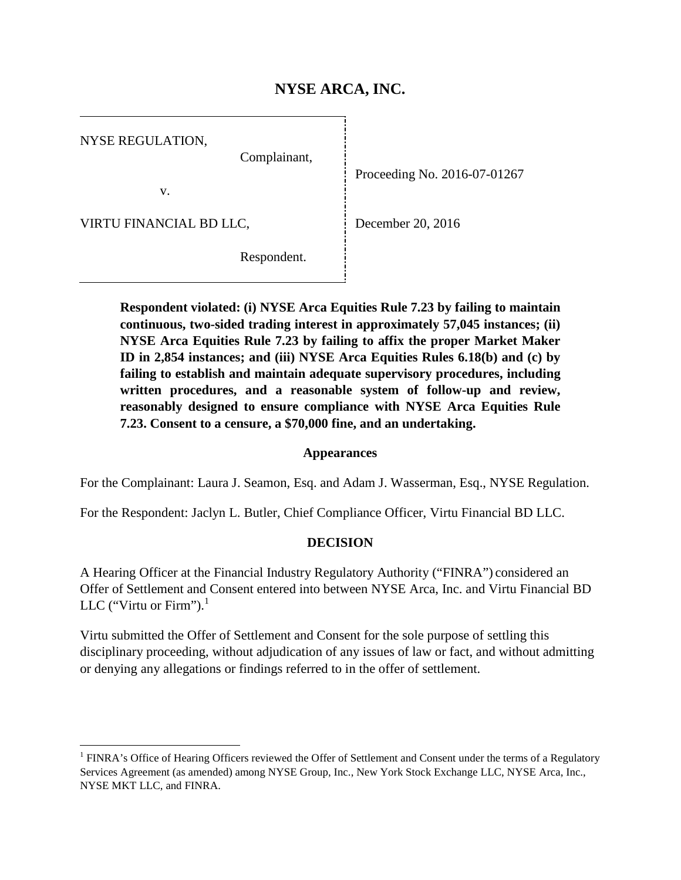# **NYSE ARCA, INC.**

NYSE REGULATION,

Complainant,

v.

VIRTU FINANCIAL BD LLC,

Proceeding No. 2016-07-01267

December 20, 2016

Respondent.

**Respondent violated: (i) NYSE Arca Equities Rule 7.23 by failing to maintain continuous, two-sided trading interest in approximately 57,045 instances; (ii) NYSE Arca Equities Rule 7.23 by failing to affix the proper Market Maker ID in 2,854 instances; and (iii) NYSE Arca Equities Rules 6.18(b) and (c) by failing to establish and maintain adequate supervisory procedures, including written procedures, and a reasonable system of follow-up and review, reasonably designed to ensure compliance with NYSE Arca Equities Rule 7.23. Consent to a censure, a \$70,000 fine, and an undertaking.**

### **Appearances**

For the Complainant: Laura J. Seamon, Esq. and Adam J. Wasserman, Esq., NYSE Regulation.

For the Respondent: Jaclyn L. Butler, Chief Compliance Officer, Virtu Financial BD LLC.

### **DECISION**

A Hearing Officer at the Financial Industry Regulatory Authority ("FINRA") considered an Offer of Settlement and Consent entered into between NYSE Arca, Inc. and Virtu Financial BD LLC ("Virtu or Firm"). $<sup>1</sup>$  $<sup>1</sup>$  $<sup>1</sup>$ </sup>

Virtu submitted the Offer of Settlement and Consent for the sole purpose of settling this disciplinary proceeding, without adjudication of any issues of law or fact, and without admitting or denying any allegations or findings referred to in the offer of settlement.

<span id="page-0-0"></span><sup>&</sup>lt;sup>1</sup> FINRA's Office of Hearing Officers reviewed the Offer of Settlement and Consent under the terms of a Regulatory Services Agreement (as amended) among NYSE Group, Inc., New York Stock Exchange LLC, NYSE Arca, Inc., NYSE MKT LLC, and FINRA.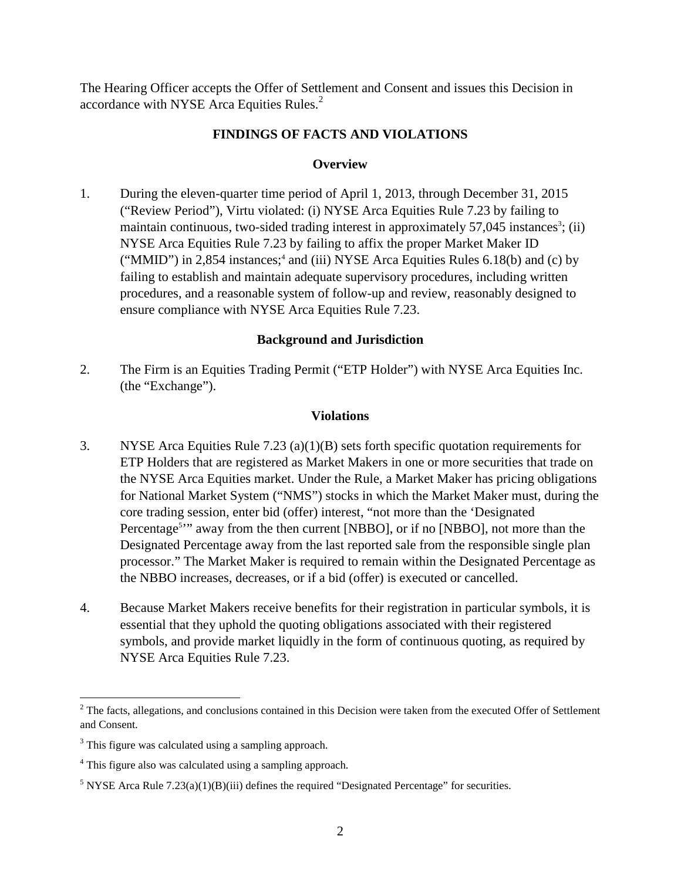The Hearing Officer accepts the Offer of Settlement and Consent and issues this Decision in accordance with NYSE Arca Equities Rules.<sup>[2](#page-1-0)</sup>

## **FINDINGS OF FACTS AND VIOLATIONS**

### **Overview**

1. During the eleven-quarter time period of April 1, 2013, through December 31, 2015 ("Review Period"), Virtu violated: (i) NYSE Arca Equities Rule 7.23 by failing to maintain continuous, two-sided trading interest in approximately 57,045 instances<sup>[3](#page-1-1)</sup>[; \(ii\)](#page-1-1) NYSE Arca Equities Rule 7.23 by failing to affix the proper Market Maker ID ("MMID") in 2,85[4](#page-1-2) instances;<sup>4</sup> and (iii) NYSE Arca Equities Rules 6.18(b) and (c) by failing to establish and maintain adequate supervisory procedures, including written procedures, and a reasonable system of follow-up and review, reasonably designed to ensure compliance with NYSE Arca Equities Rule 7.23.

### **Background and Jurisdiction**

2. The Firm is an Equities Trading Permit ("ETP Holder") with NYSE Arca Equities Inc. (the "Exchange").

### **Violations**

- 3. NYSE Arca Equities Rule 7.23 (a)(1)(B) sets forth specific quotation requirements for ETP Holders that are registered as Market Makers in one or more securities that trade on the NYSE Arca Equities market. Under the Rule, a Market Maker has pricing obligations for National Market System ("NMS") stocks in which the Market Maker must, during the core trading session, enter bid (offer) interest, "not more than the 'Designated Percentage<sup>5</sup><sup>2</sup> away from the then current [NBBO], or if no [NBBO], not more than the Designated Percentage away from the last reported sale from the responsible single plan processor." The Market Maker is required to remain within the Designated Percentage as the NBBO increases, decreases, or if a bid (offer) is executed or cancelled.
- 4. Because Market Makers receive benefits for their registration in particular symbols, it is essential that they uphold the quoting obligations associated with their registered symbols, and provide market liquidly in the form of continuous quoting, as required by NYSE Arca Equities Rule 7.23.

<span id="page-1-0"></span> $2^2$  The facts, allegations, and conclusions contained in this Decision were taken from the executed Offer of Settlement and Consent.

<span id="page-1-1"></span><sup>&</sup>lt;sup>3</sup> This figure was calculated using a sampling approach.

<span id="page-1-2"></span><sup>4</sup> This figure also was calculated using a sampling approach.

<span id="page-1-3"></span><sup>&</sup>lt;sup>5</sup> NYSE Arca Rule 7.23(a)(1)(B)(iii) defines the required "Designated Percentage" for securities.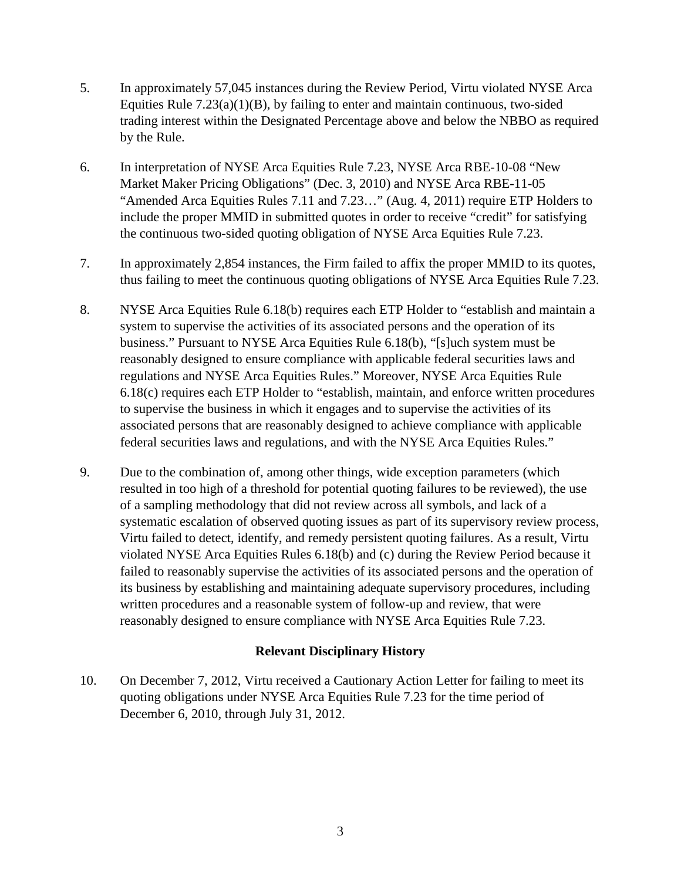- 5. In approximately 57,045 instances during the Review Period, Virtu violated NYSE Arca Equities Rule  $7.23(a)(1)(B)$ , by failing to enter and maintain continuous, two-sided trading interest within the Designated Percentage above and below the NBBO as required by the Rule.
- 6. In interpretation of NYSE Arca Equities Rule 7.23, NYSE Arca RBE-10-08 "New Market Maker Pricing Obligations" (Dec. 3, 2010) and NYSE Arca RBE-11-05 "Amended Arca Equities Rules 7.11 and 7.23…" (Aug. 4, 2011) require ETP Holders to include the proper MMID in submitted quotes in order to receive "credit" for satisfying the continuous two-sided quoting obligation of NYSE Arca Equities Rule 7.23.
- 7. In approximately 2,854 instances, the Firm failed to affix the proper MMID to its quotes, thus failing to meet the continuous quoting obligations of NYSE Arca Equities Rule 7.23.
- 8. NYSE Arca Equities Rule 6.18(b) requires each ETP Holder to "establish and maintain a system to supervise the activities of its associated persons and the operation of its business." Pursuant to NYSE Arca Equities Rule 6.18(b), "[s]uch system must be reasonably designed to ensure compliance with applicable federal securities laws and regulations and NYSE Arca Equities Rules." Moreover, NYSE Arca Equities Rule 6.18(c) requires each ETP Holder to "establish, maintain, and enforce written procedures to supervise the business in which it engages and to supervise the activities of its associated persons that are reasonably designed to achieve compliance with applicable federal securities laws and regulations, and with the NYSE Arca Equities Rules."
- 9. Due to the combination of, among other things, wide exception parameters (which resulted in too high of a threshold for potential quoting failures to be reviewed), the use of a sampling methodology that did not review across all symbols, and lack of a systematic escalation of observed quoting issues as part of its supervisory review process, Virtu failed to detect, identify, and remedy persistent quoting failures. As a result, Virtu violated NYSE Arca Equities Rules 6.18(b) and (c) during the Review Period because it failed to reasonably supervise the activities of its associated persons and the operation of its business by establishing and maintaining adequate supervisory procedures, including written procedures and a reasonable system of follow-up and review, that were reasonably designed to ensure compliance with NYSE Arca Equities Rule 7.23.

### **Relevant Disciplinary History**

10. On December 7, 2012, Virtu received a Cautionary Action Letter for failing to meet its quoting obligations under NYSE Arca Equities Rule 7.23 for the time period of December 6, 2010, through July 31, 2012.